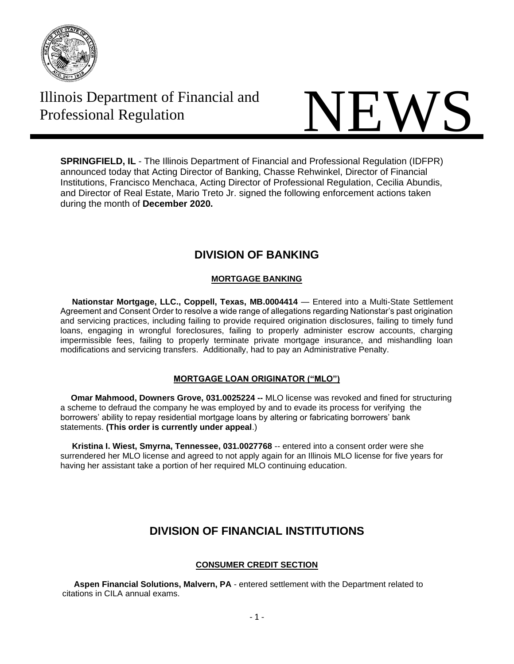

# Illinois Department of Financial and

# Illinois Department of Financial and<br>Professional Regulation

**SPRINGFIELD, IL** - The Illinois Department of Financial and Professional Regulation (IDFPR) announced today that Acting Director of Banking, Chasse Rehwinkel, Director of Financial Institutions, Francisco Menchaca, Acting Director of Professional Regulation, Cecilia Abundis, and Director of Real Estate, Mario Treto Jr. signed the following enforcement actions taken during the month of **December 2020.**

# **DIVISION OF BANKING**

# **MORTGAGE BANKING**

 **Nationstar Mortgage, LLC., Coppell, Texas, MB.0004414** — Entered into a Multi-State Settlement Agreement and Consent Order to resolve a wide range of allegations regarding Nationstar's past origination and servicing practices, including failing to provide required origination disclosures, failing to timely fund loans, engaging in wrongful foreclosures, failing to properly administer escrow accounts, charging impermissible fees, failing to properly terminate private mortgage insurance, and mishandling loan modifications and servicing transfers. Additionally, had to pay an Administrative Penalty.

## **MORTGAGE LOAN ORIGINATOR ("MLO")**

 **Omar Mahmood, Downers Grove, [031.0025224](https://www.idfpr.com/banks/resfin/discipline/LO2019/2019-MLO-06.pdf) --** MLO license was revoked and fined for structuring a scheme to defraud the company he was employed by and to evade its process for verifying the borrowers' ability to repay residential mortgage loans by altering or fabricating borrowers' bank statements. **(This order is currently under appeal**.)

 **Kristina I. Wiest, Smyrna, Tennessee, 031.0027768** -- entered into a consent order were she surrendered her MLO license and agreed to not apply again for an Illinois MLO license for five years for having her assistant take a portion of her required MLO continuing education.

# **DIVISION OF FINANCIAL INSTITUTIONS**

## **CONSUMER CREDIT SECTION**

 **Aspen Financial Solutions, Malvern, PA** - entered settlement with the Department related to citations in CILA annual exams.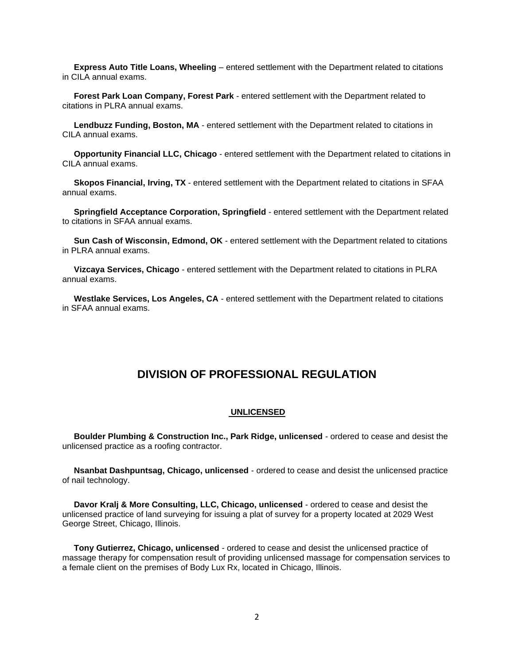**Express Auto Title Loans, Wheeling** – entered settlement with the Department related to citations in CILA annual exams.

 **Forest Park Loan Company, Forest Park** - entered settlement with the Department related to citations in PLRA annual exams.

 **Lendbuzz Funding, Boston, MA** - entered settlement with the Department related to citations in CILA annual exams.

 **Opportunity Financial LLC, Chicago** - entered settlement with the Department related to citations in CILA annual exams.

 **Skopos Financial, Irving, TX** - entered settlement with the Department related to citations in SFAA annual exams.

 **Springfield Acceptance Corporation, Springfield** - entered settlement with the Department related to citations in SFAA annual exams.

 **Sun Cash of Wisconsin, Edmond, OK** - entered settlement with the Department related to citations in PLRA annual exams.

 **Vizcaya Services, Chicago** - entered settlement with the Department related to citations in PLRA annual exams.

 **Westlake Services, Los Angeles, CA** - entered settlement with the Department related to citations in SFAA annual exams.

# **DIVISION OF PROFESSIONAL REGULATION**

#### **UNLICENSED**

 **Boulder Plumbing & Construction Inc., Park Ridge, unlicensed** - ordered to cease and desist the unlicensed practice as a roofing contractor.

 **Nsanbat Dashpuntsag, Chicago, unlicensed** - ordered to cease and desist the unlicensed practice of nail technology.

 **Davor Kralj & More Consulting, LLC, Chicago, unlicensed** - ordered to cease and desist the unlicensed practice of land surveying for issuing a plat of survey for a property located at 2029 West George Street, Chicago, Illinois.

 **Tony Gutierrez, Chicago, unlicensed** - ordered to cease and desist the unlicensed practice of massage therapy for compensation result of providing unlicensed massage for compensation services to a female client on the premises of Body Lux Rx, located in Chicago, Illinois.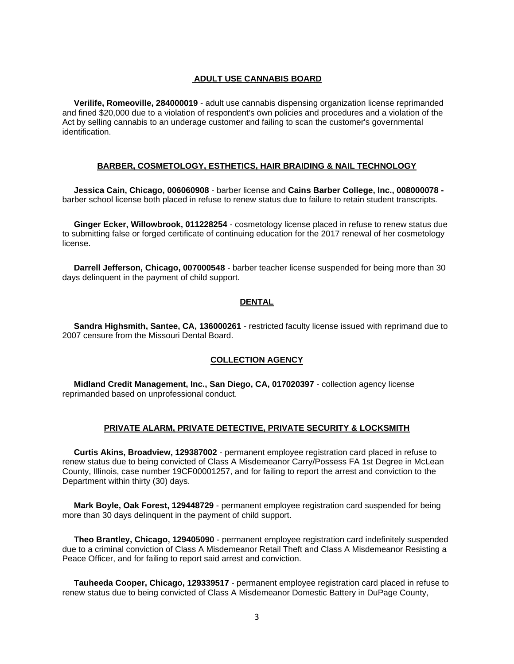#### **ADULT USE CANNABIS BOARD**

 **Verilife, Romeoville, 284000019** - adult use cannabis dispensing organization license reprimanded and fined \$20,000 due to a violation of respondent's own policies and procedures and a violation of the Act by selling cannabis to an underage customer and failing to scan the customer's governmental identification.

#### **BARBER, COSMETOLOGY, ESTHETICS, HAIR BRAIDING & NAIL TECHNOLOGY**

 **Jessica Cain, Chicago, 006060908** - barber license and **Cains Barber College, Inc., 008000078**  barber school license both placed in refuse to renew status due to failure to retain student transcripts.

 **Ginger Ecker, Willowbrook, 011228254** - cosmetology license placed in refuse to renew status due to submitting false or forged certificate of continuing education for the 2017 renewal of her cosmetology license.

 **Darrell Jefferson, Chicago, 007000548** - barber teacher license suspended for being more than 30 days delinquent in the payment of child support.

#### **DENTAL**

 **Sandra Highsmith, Santee, CA, 136000261** - restricted faculty license issued with reprimand due to 2007 censure from the Missouri Dental Board.

#### **COLLECTION AGENCY**

 **Midland Credit Management, Inc., San Diego, CA, 017020397** - collection agency license reprimanded based on unprofessional conduct.

#### **PRIVATE ALARM, PRIVATE DETECTIVE, PRIVATE SECURITY & LOCKSMITH**

 **Curtis Akins, Broadview, 129387002** - permanent employee registration card placed in refuse to renew status due to being convicted of Class A Misdemeanor Carry/Possess FA 1st Degree in McLean County, Illinois, case number 19CF00001257, and for failing to report the arrest and conviction to the Department within thirty (30) days.

 **Mark Boyle, Oak Forest, 129448729** - permanent employee registration card suspended for being more than 30 days delinquent in the payment of child support.

 **Theo Brantley, Chicago, 129405090** - permanent employee registration card indefinitely suspended due to a criminal conviction of Class A Misdemeanor Retail Theft and Class A Misdemeanor Resisting a Peace Officer, and for failing to report said arrest and conviction.

 **Tauheeda Cooper, Chicago, 129339517** - permanent employee registration card placed in refuse to renew status due to being convicted of Class A Misdemeanor Domestic Battery in DuPage County,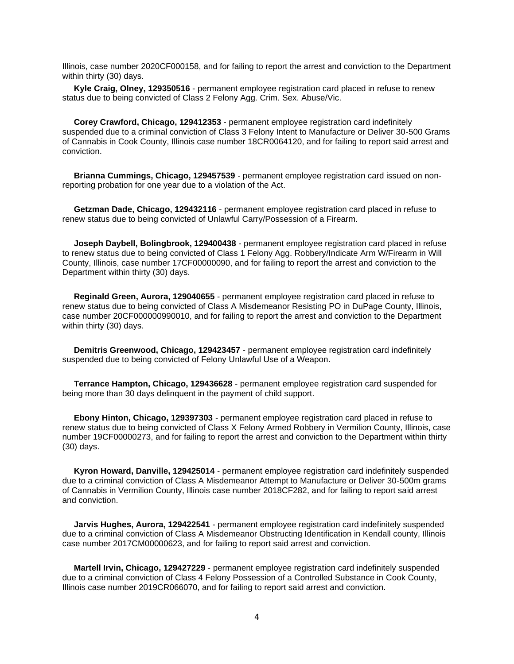Illinois, case number 2020CF000158, and for failing to report the arrest and conviction to the Department within thirty (30) days.

 **Kyle Craig, Olney, 129350516** - permanent employee registration card placed in refuse to renew status due to being convicted of Class 2 Felony Agg. Crim. Sex. Abuse/Vic.

 **Corey Crawford, Chicago, 129412353** - permanent employee registration card indefinitely suspended due to a criminal conviction of Class 3 Felony Intent to Manufacture or Deliver 30-500 Grams of Cannabis in Cook County, Illinois case number 18CR0064120, and for failing to report said arrest and conviction.

 **Brianna Cummings, Chicago, 129457539** - permanent employee registration card issued on nonreporting probation for one year due to a violation of the Act.

 **Getzman Dade, Chicago, 129432116** - permanent employee registration card placed in refuse to renew status due to being convicted of Unlawful Carry/Possession of a Firearm.

 **Joseph Daybell, Bolingbrook, 129400438** - permanent employee registration card placed in refuse to renew status due to being convicted of Class 1 Felony Agg. Robbery/Indicate Arm W/Firearm in Will County, Illinois, case number 17CF00000090, and for failing to report the arrest and conviction to the Department within thirty (30) days.

 **Reginald Green, Aurora, 129040655** - permanent employee registration card placed in refuse to renew status due to being convicted of Class A Misdemeanor Resisting PO in DuPage County, Illinois, case number 20CF000000990010, and for failing to report the arrest and conviction to the Department within thirty (30) days.

 **Demitris Greenwood, Chicago, 129423457** - permanent employee registration card indefinitely suspended due to being convicted of Felony Unlawful Use of a Weapon.

 **Terrance Hampton, Chicago, 129436628** - permanent employee registration card suspended for being more than 30 days delinquent in the payment of child support.

 **Ebony Hinton, Chicago, 129397303** - permanent employee registration card placed in refuse to renew status due to being convicted of Class X Felony Armed Robbery in Vermilion County, Illinois, case number 19CF00000273, and for failing to report the arrest and conviction to the Department within thirty (30) days.

 **Kyron Howard, Danville, 129425014** - permanent employee registration card indefinitely suspended due to a criminal conviction of Class A Misdemeanor Attempt to Manufacture or Deliver 30-500m grams of Cannabis in Vermilion County, Illinois case number 2018CF282, and for failing to report said arrest and conviction.

 **Jarvis Hughes, Aurora, 129422541** - permanent employee registration card indefinitely suspended due to a criminal conviction of Class A Misdemeanor Obstructing Identification in Kendall county, Illinois case number 2017CM00000623, and for failing to report said arrest and conviction.

 **Martell Irvin, Chicago, 129427229** - permanent employee registration card indefinitely suspended due to a criminal conviction of Class 4 Felony Possession of a Controlled Substance in Cook County, Illinois case number 2019CR066070, and for failing to report said arrest and conviction.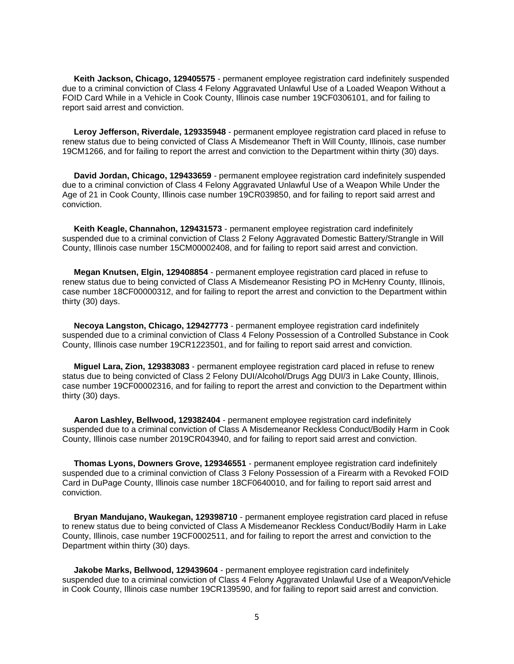**Keith Jackson, Chicago, 129405575** - permanent employee registration card indefinitely suspended due to a criminal conviction of Class 4 Felony Aggravated Unlawful Use of a Loaded Weapon Without a FOID Card While in a Vehicle in Cook County, Illinois case number 19CF0306101, and for failing to report said arrest and conviction.

 **Leroy Jefferson, Riverdale, 129335948** - permanent employee registration card placed in refuse to renew status due to being convicted of Class A Misdemeanor Theft in Will County, Illinois, case number 19CM1266, and for failing to report the arrest and conviction to the Department within thirty (30) days.

 **David Jordan, Chicago, 129433659** - permanent employee registration card indefinitely suspended due to a criminal conviction of Class 4 Felony Aggravated Unlawful Use of a Weapon While Under the Age of 21 in Cook County, Illinois case number 19CR039850, and for failing to report said arrest and conviction.

 **Keith Keagle, Channahon, 129431573** - permanent employee registration card indefinitely suspended due to a criminal conviction of Class 2 Felony Aggravated Domestic Battery/Strangle in Will County, Illinois case number 15CM00002408, and for failing to report said arrest and conviction.

 **Megan Knutsen, Elgin, 129408854** - permanent employee registration card placed in refuse to renew status due to being convicted of Class A Misdemeanor Resisting PO in McHenry County, Illinois, case number 18CF00000312, and for failing to report the arrest and conviction to the Department within thirty (30) days.

 **Necoya Langston, Chicago, 129427773** - permanent employee registration card indefinitely suspended due to a criminal conviction of Class 4 Felony Possession of a Controlled Substance in Cook County, Illinois case number 19CR1223501, and for failing to report said arrest and conviction.

 **Miguel Lara, Zion, 129383083** - permanent employee registration card placed in refuse to renew status due to being convicted of Class 2 Felony DUI/Alcohol/Drugs Agg DUI/3 in Lake County, Illinois, case number 19CF00002316, and for failing to report the arrest and conviction to the Department within thirty (30) days.

 **Aaron Lashley, Bellwood, 129382404** - permanent employee registration card indefinitely suspended due to a criminal conviction of Class A Misdemeanor Reckless Conduct/Bodily Harm in Cook County, Illinois case number 2019CR043940, and for failing to report said arrest and conviction.

 **Thomas Lyons, Downers Grove, 129346551** - permanent employee registration card indefinitely suspended due to a criminal conviction of Class 3 Felony Possession of a Firearm with a Revoked FOID Card in DuPage County, Illinois case number 18CF0640010, and for failing to report said arrest and conviction.

 **Bryan Mandujano, Waukegan, 129398710** - permanent employee registration card placed in refuse to renew status due to being convicted of Class A Misdemeanor Reckless Conduct/Bodily Harm in Lake County, Illinois, case number 19CF0002511, and for failing to report the arrest and conviction to the Department within thirty (30) days.

 **Jakobe Marks, Bellwood, 129439604** - permanent employee registration card indefinitely suspended due to a criminal conviction of Class 4 Felony Aggravated Unlawful Use of a Weapon/Vehicle in Cook County, Illinois case number 19CR139590, and for failing to report said arrest and conviction.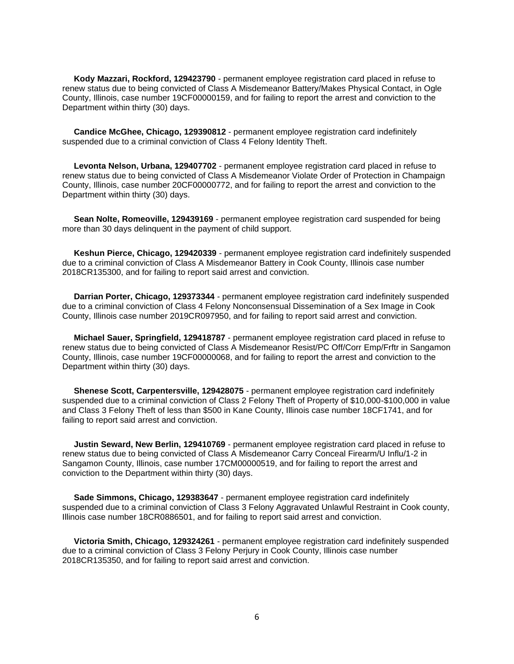**Kody Mazzari, Rockford, 129423790** - permanent employee registration card placed in refuse to renew status due to being convicted of Class A Misdemeanor Battery/Makes Physical Contact, in Ogle County, Illinois, case number 19CF00000159, and for failing to report the arrest and conviction to the Department within thirty (30) days.

 **Candice McGhee, Chicago, 129390812** - permanent employee registration card indefinitely suspended due to a criminal conviction of Class 4 Felony Identity Theft.

 **Levonta Nelson, Urbana, 129407702** - permanent employee registration card placed in refuse to renew status due to being convicted of Class A Misdemeanor Violate Order of Protection in Champaign County, Illinois, case number 20CF00000772, and for failing to report the arrest and conviction to the Department within thirty (30) days.

 **Sean Nolte, Romeoville, 129439169** - permanent employee registration card suspended for being more than 30 days delinquent in the payment of child support.

 **Keshun Pierce, Chicago, 129420339** - permanent employee registration card indefinitely suspended due to a criminal conviction of Class A Misdemeanor Battery in Cook County, Illinois case number 2018CR135300, and for failing to report said arrest and conviction.

 **Darrian Porter, Chicago, 129373344** - permanent employee registration card indefinitely suspended due to a criminal conviction of Class 4 Felony Nonconsensual Dissemination of a Sex Image in Cook County, Illinois case number 2019CR097950, and for failing to report said arrest and conviction.

 **Michael Sauer, Springfield, 129418787** - permanent employee registration card placed in refuse to renew status due to being convicted of Class A Misdemeanor Resist/PC Off/Corr Emp/Frftr in Sangamon County, Illinois, case number 19CF00000068, and for failing to report the arrest and conviction to the Department within thirty (30) days.

 **Shenese Scott, Carpentersville, 129428075** - permanent employee registration card indefinitely suspended due to a criminal conviction of Class 2 Felony Theft of Property of \$10,000-\$100,000 in value and Class 3 Felony Theft of less than \$500 in Kane County, Illinois case number 18CF1741, and for failing to report said arrest and conviction.

 **Justin Seward, New Berlin, 129410769** - permanent employee registration card placed in refuse to renew status due to being convicted of Class A Misdemeanor Carry Conceal Firearm/U Influ/1-2 in Sangamon County, Illinois, case number 17CM00000519, and for failing to report the arrest and conviction to the Department within thirty (30) days.

 **Sade Simmons, Chicago, 129383647** - permanent employee registration card indefinitely suspended due to a criminal conviction of Class 3 Felony Aggravated Unlawful Restraint in Cook county, Illinois case number 18CR0886501, and for failing to report said arrest and conviction.

 **Victoria Smith, Chicago, 129324261** - permanent employee registration card indefinitely suspended due to a criminal conviction of Class 3 Felony Perjury in Cook County, Illinois case number 2018CR135350, and for failing to report said arrest and conviction.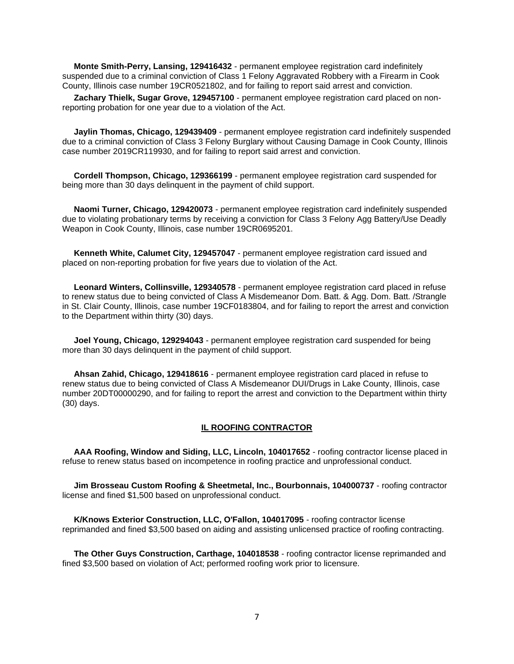**Monte Smith-Perry, Lansing, 129416432** - permanent employee registration card indefinitely suspended due to a criminal conviction of Class 1 Felony Aggravated Robbery with a Firearm in Cook County, Illinois case number 19CR0521802, and for failing to report said arrest and conviction.

 **Zachary Thielk, Sugar Grove, 129457100** - permanent employee registration card placed on nonreporting probation for one year due to a violation of the Act.

 **Jaylin Thomas, Chicago, 129439409** - permanent employee registration card indefinitely suspended due to a criminal conviction of Class 3 Felony Burglary without Causing Damage in Cook County, Illinois case number 2019CR119930, and for failing to report said arrest and conviction.

 **Cordell Thompson, Chicago, 129366199** - permanent employee registration card suspended for being more than 30 days delinquent in the payment of child support.

 **Naomi Turner, Chicago, 129420073** - permanent employee registration card indefinitely suspended due to violating probationary terms by receiving a conviction for Class 3 Felony Agg Battery/Use Deadly Weapon in Cook County, Illinois, case number 19CR0695201.

 **Kenneth White, Calumet City, 129457047** - permanent employee registration card issued and placed on non-reporting probation for five years due to violation of the Act.

 **Leonard Winters, Collinsville, 129340578** - permanent employee registration card placed in refuse to renew status due to being convicted of Class A Misdemeanor Dom. Batt. & Agg. Dom. Batt. /Strangle in St. Clair County, Illinois, case number 19CF0183804, and for failing to report the arrest and conviction to the Department within thirty (30) days.

 **Joel Young, Chicago, 129294043** - permanent employee registration card suspended for being more than 30 days delinquent in the payment of child support.

 **Ahsan Zahid, Chicago, 129418616** - permanent employee registration card placed in refuse to renew status due to being convicted of Class A Misdemeanor DUI/Drugs in Lake County, Illinois, case number 20DT00000290, and for failing to report the arrest and conviction to the Department within thirty (30) days.

#### **IL ROOFING CONTRACTOR**

 **AAA Roofing, Window and Siding, LLC, Lincoln, 104017652** - roofing contractor license placed in refuse to renew status based on incompetence in roofing practice and unprofessional conduct.

 **Jim Brosseau Custom Roofing & Sheetmetal, Inc., Bourbonnais, 104000737** - roofing contractor license and fined \$1,500 based on unprofessional conduct.

 **K/Knows Exterior Construction, LLC, O'Fallon, 104017095** - roofing contractor license reprimanded and fined \$3,500 based on aiding and assisting unlicensed practice of roofing contracting.

 **The Other Guys Construction, Carthage, 104018538** - roofing contractor license reprimanded and fined \$3,500 based on violation of Act; performed roofing work prior to licensure.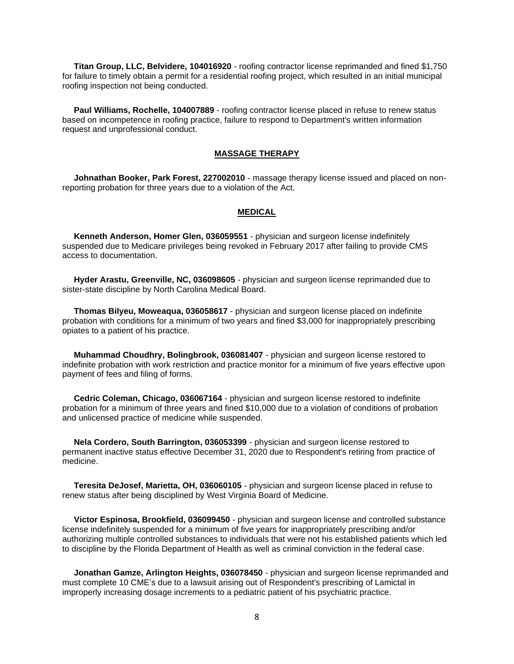**Titan Group, LLC, Belvidere, 104016920** - roofing contractor license reprimanded and fined \$1,750 for failure to timely obtain a permit for a residential roofing project, which resulted in an initial municipal roofing inspection not being conducted.

 **Paul Williams, Rochelle, 104007889** - roofing contractor license placed in refuse to renew status based on incompetence in roofing practice, failure to respond to Department's written information request and unprofessional conduct.

#### **MASSAGE THERAPY**

 **Johnathan Booker, Park Forest, 227002010** - massage therapy license issued and placed on nonreporting probation for three years due to a violation of the Act.

#### **MEDICAL**

 **Kenneth Anderson, Homer Glen, 036059551** - physician and surgeon license indefinitely suspended due to Medicare privileges being revoked in February 2017 after failing to provide CMS access to documentation.

 **Hyder Arastu, Greenville, NC, 036098605** - physician and surgeon license reprimanded due to sister-state discipline by North Carolina Medical Board.

 **Thomas Bilyeu, Moweaqua, 036058617** - physician and surgeon license placed on indefinite probation with conditions for a minimum of two years and fined \$3,000 for inappropriately prescribing opiates to a patient of his practice.

 **Muhammad Choudhry, Bolingbrook, 036081407** - physician and surgeon license restored to indefinite probation with work restriction and practice monitor for a minimum of five years effective upon payment of fees and filing of forms.

 **Cedric Coleman, Chicago, 036067164** - physician and surgeon license restored to indefinite probation for a minimum of three years and fined \$10,000 due to a violation of conditions of probation and unlicensed practice of medicine while suspended.

 **Nela Cordero, South Barrington, 036053399** - physician and surgeon license restored to permanent inactive status effective December 31, 2020 due to Respondent's retiring from practice of medicine.

 **Teresita DeJosef, Marietta, OH, 036060105** - physician and surgeon license placed in refuse to renew status after being disciplined by West Virginia Board of Medicine.

 **Victor Espinosa, Brookfield, 036099450** - physician and surgeon license and controlled substance license indefinitely suspended for a minimum of five years for inappropriately prescribing and/or authorizing multiple controlled substances to individuals that were not his established patients which led to discipline by the Florida Department of Health as well as criminal conviction in the federal case.

 **Jonathan Gamze, Arlington Heights, 036078450** - physician and surgeon license reprimanded and must complete 10 CME's due to a lawsuit arising out of Respondent's prescribing of Lamictal in improperly increasing dosage increments to a pediatric patient of his psychiatric practice.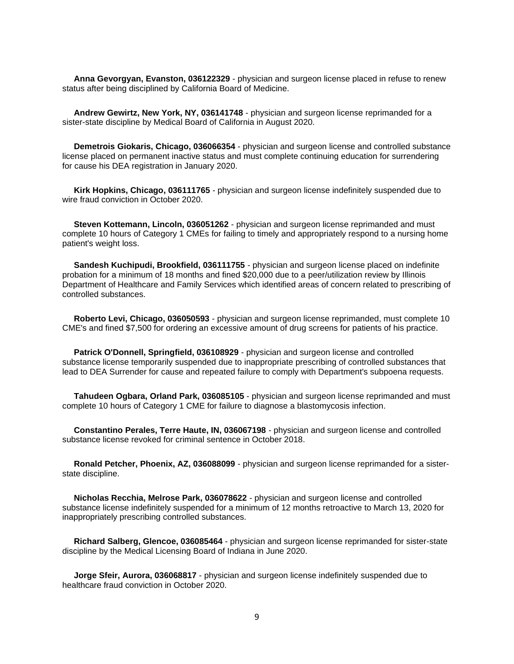**Anna Gevorgyan, Evanston, 036122329** - physician and surgeon license placed in refuse to renew status after being disciplined by California Board of Medicine.

 **Andrew Gewirtz, New York, NY, 036141748** - physician and surgeon license reprimanded for a sister-state discipline by Medical Board of California in August 2020.

 **Demetrois Giokaris, Chicago, 036066354** - physician and surgeon license and controlled substance license placed on permanent inactive status and must complete continuing education for surrendering for cause his DEA registration in January 2020.

 **Kirk Hopkins, Chicago, 036111765** - physician and surgeon license indefinitely suspended due to wire fraud conviction in October 2020.

 **Steven Kottemann, Lincoln, 036051262** - physician and surgeon license reprimanded and must complete 10 hours of Category 1 CMEs for failing to timely and appropriately respond to a nursing home patient's weight loss.

 **Sandesh Kuchipudi, Brookfield, 036111755** - physician and surgeon license placed on indefinite probation for a minimum of 18 months and fined \$20,000 due to a peer/utilization review by Illinois Department of Healthcare and Family Services which identified areas of concern related to prescribing of controlled substances.

 **Roberto Levi, Chicago, 036050593** - physician and surgeon license reprimanded, must complete 10 CME's and fined \$7,500 for ordering an excessive amount of drug screens for patients of his practice.

 **Patrick O'Donnell, Springfield, 036108929** - physician and surgeon license and controlled substance license temporarily suspended due to inappropriate prescribing of controlled substances that lead to DEA Surrender for cause and repeated failure to comply with Department's subpoena requests.

 **Tahudeen Ogbara, Orland Park, 036085105** - physician and surgeon license reprimanded and must complete 10 hours of Category 1 CME for failure to diagnose a blastomycosis infection.

 **Constantino Perales, Terre Haute, IN, 036067198** - physician and surgeon license and controlled substance license revoked for criminal sentence in October 2018.

 **Ronald Petcher, Phoenix, AZ, 036088099** - physician and surgeon license reprimanded for a sisterstate discipline.

 **Nicholas Recchia, Melrose Park, 036078622** - physician and surgeon license and controlled substance license indefinitely suspended for a minimum of 12 months retroactive to March 13, 2020 for inappropriately prescribing controlled substances.

 **Richard Salberg, Glencoe, 036085464** - physician and surgeon license reprimanded for sister-state discipline by the Medical Licensing Board of Indiana in June 2020.

 **Jorge Sfeir, Aurora, 036068817** - physician and surgeon license indefinitely suspended due to healthcare fraud conviction in October 2020.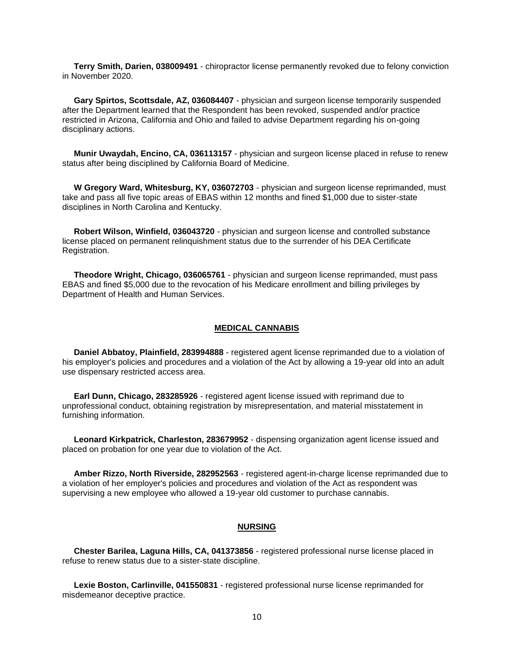**Terry Smith, Darien, 038009491** - chiropractor license permanently revoked due to felony conviction in November 2020.

 **Gary Spirtos, Scottsdale, AZ, 036084407** - physician and surgeon license temporarily suspended after the Department learned that the Respondent has been revoked, suspended and/or practice restricted in Arizona, California and Ohio and failed to advise Department regarding his on-going disciplinary actions.

 **Munir Uwaydah, Encino, CA, 036113157** - physician and surgeon license placed in refuse to renew status after being disciplined by California Board of Medicine.

 **W Gregory Ward, Whitesburg, KY, 036072703** - physician and surgeon license reprimanded, must take and pass all five topic areas of EBAS within 12 months and fined \$1,000 due to sister-state disciplines in North Carolina and Kentucky.

 **Robert Wilson, Winfield, 036043720** - physician and surgeon license and controlled substance license placed on permanent relinquishment status due to the surrender of his DEA Certificate Registration.

 **Theodore Wright, Chicago, 036065761** - physician and surgeon license reprimanded, must pass EBAS and fined \$5,000 due to the revocation of his Medicare enrollment and billing privileges by Department of Health and Human Services.

#### **MEDICAL CANNABIS**

 **Daniel Abbatoy, Plainfield, 283994888** - registered agent license reprimanded due to a violation of his employer's policies and procedures and a violation of the Act by allowing a 19-year old into an adult use dispensary restricted access area.

 **Earl Dunn, Chicago, 283285926** - registered agent license issued with reprimand due to unprofessional conduct, obtaining registration by misrepresentation, and material misstatement in furnishing information.

 **Leonard Kirkpatrick, Charleston, 283679952** - dispensing organization agent license issued and placed on probation for one year due to violation of the Act.

 **Amber Rizzo, North Riverside, 282952563** - registered agent-in-charge license reprimanded due to a violation of her employer's policies and procedures and violation of the Act as respondent was supervising a new employee who allowed a 19-year old customer to purchase cannabis.

#### **NURSING**

 **Chester Barilea, Laguna Hills, CA, 041373856** - registered professional nurse license placed in refuse to renew status due to a sister-state discipline.

 **Lexie Boston, Carlinville, 041550831** - registered professional nurse license reprimanded for misdemeanor deceptive practice.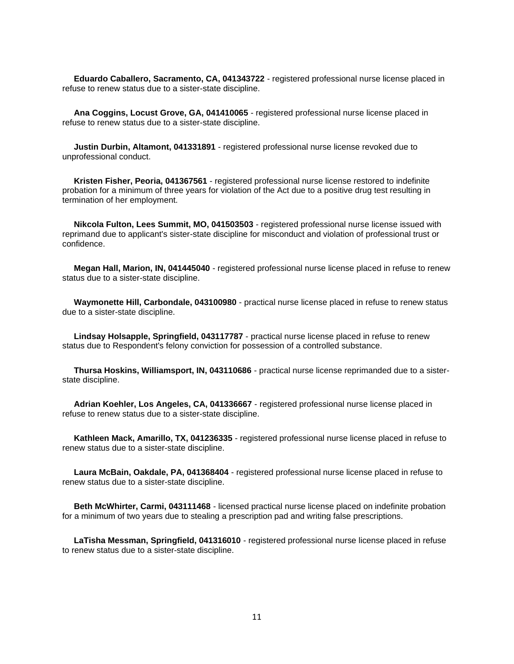**Eduardo Caballero, Sacramento, CA, 041343722** - registered professional nurse license placed in refuse to renew status due to a sister-state discipline.

 **Ana Coggins, Locust Grove, GA, 041410065** - registered professional nurse license placed in refuse to renew status due to a sister-state discipline.

 **Justin Durbin, Altamont, 041331891** - registered professional nurse license revoked due to unprofessional conduct.

 **Kristen Fisher, Peoria, 041367561** - registered professional nurse license restored to indefinite probation for a minimum of three years for violation of the Act due to a positive drug test resulting in termination of her employment.

 **Nikcola Fulton, Lees Summit, MO, 041503503** - registered professional nurse license issued with reprimand due to applicant's sister-state discipline for misconduct and violation of professional trust or confidence.

 **Megan Hall, Marion, IN, 041445040** - registered professional nurse license placed in refuse to renew status due to a sister-state discipline.

 **Waymonette Hill, Carbondale, 043100980** - practical nurse license placed in refuse to renew status due to a sister-state discipline.

 **Lindsay Holsapple, Springfield, 043117787** - practical nurse license placed in refuse to renew status due to Respondent's felony conviction for possession of a controlled substance.

 **Thursa Hoskins, Williamsport, IN, 043110686** - practical nurse license reprimanded due to a sisterstate discipline.

 **Adrian Koehler, Los Angeles, CA, 041336667** - registered professional nurse license placed in refuse to renew status due to a sister-state discipline.

 **Kathleen Mack, Amarillo, TX, 041236335** - registered professional nurse license placed in refuse to renew status due to a sister-state discipline.

 **Laura McBain, Oakdale, PA, 041368404** - registered professional nurse license placed in refuse to renew status due to a sister-state discipline.

 **Beth McWhirter, Carmi, 043111468** - licensed practical nurse license placed on indefinite probation for a minimum of two years due to stealing a prescription pad and writing false prescriptions.

 **LaTisha Messman, Springfield, 041316010** - registered professional nurse license placed in refuse to renew status due to a sister-state discipline.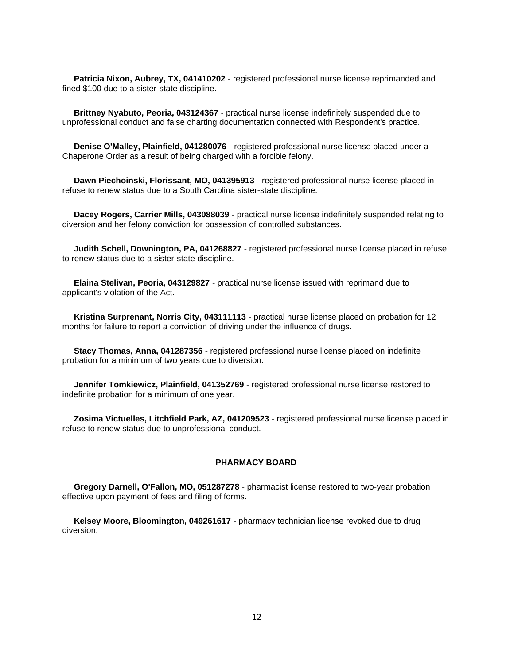**Patricia Nixon, Aubrey, TX, 041410202** - registered professional nurse license reprimanded and fined \$100 due to a sister-state discipline.

 **Brittney Nyabuto, Peoria, 043124367** - practical nurse license indefinitely suspended due to unprofessional conduct and false charting documentation connected with Respondent's practice.

 **Denise O'Malley, Plainfield, 041280076** - registered professional nurse license placed under a Chaperone Order as a result of being charged with a forcible felony.

 **Dawn Piechoinski, Florissant, MO, 041395913** - registered professional nurse license placed in refuse to renew status due to a South Carolina sister-state discipline.

 **Dacey Rogers, Carrier Mills, 043088039** - practical nurse license indefinitely suspended relating to diversion and her felony conviction for possession of controlled substances.

 **Judith Schell, Downington, PA, 041268827** - registered professional nurse license placed in refuse to renew status due to a sister-state discipline.

 **Elaina Stelivan, Peoria, 043129827** - practical nurse license issued with reprimand due to applicant's violation of the Act.

 **Kristina Surprenant, Norris City, 043111113** - practical nurse license placed on probation for 12 months for failure to report a conviction of driving under the influence of drugs.

 **Stacy Thomas, Anna, 041287356** - registered professional nurse license placed on indefinite probation for a minimum of two years due to diversion.

**Jennifer Tomkiewicz, Plainfield, 041352769** - registered professional nurse license restored to indefinite probation for a minimum of one year.

 **Zosima Victuelles, Litchfield Park, AZ, 041209523** - registered professional nurse license placed in refuse to renew status due to unprofessional conduct.

#### **PHARMACY BOARD**

 **Gregory Darnell, O'Fallon, MO, 051287278** - pharmacist license restored to two-year probation effective upon payment of fees and filing of forms.

 **Kelsey Moore, Bloomington, 049261617** - pharmacy technician license revoked due to drug diversion.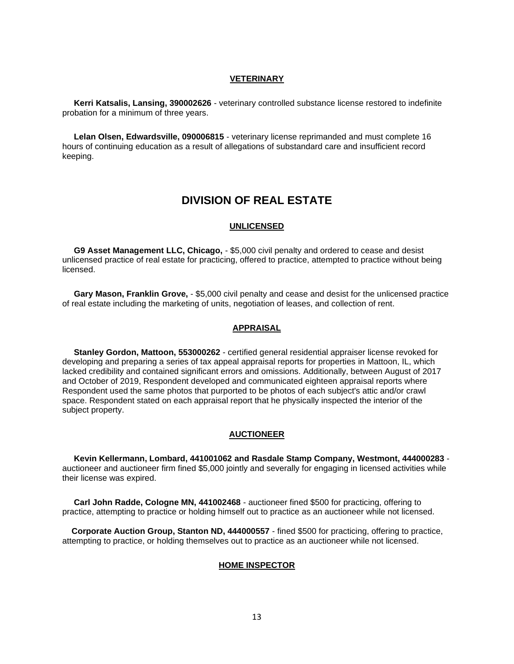#### **VETERINARY**

 **Kerri Katsalis, Lansing, 390002626** - veterinary controlled substance license restored to indefinite probation for a minimum of three years.

 **Lelan Olsen, Edwardsville, 090006815** - veterinary license reprimanded and must complete 16 hours of continuing education as a result of allegations of substandard care and insufficient record keeping.

# **DIVISION OF REAL ESTATE**

#### **UNLICENSED**

 **G9 Asset Management LLC, Chicago,** - \$5,000 civil penalty and ordered to cease and desist unlicensed practice of real estate for practicing, offered to practice, attempted to practice without being licensed.

 **Gary Mason, Franklin Grove,** - \$5,000 civil penalty and cease and desist for the unlicensed practice of real estate including the marketing of units, negotiation of leases, and collection of rent.

#### **APPRAISAL**

 **Stanley Gordon, Mattoon, 553000262** - certified general residential appraiser license revoked for developing and preparing a series of tax appeal appraisal reports for properties in Mattoon, IL, which lacked credibility and contained significant errors and omissions. Additionally, between August of 2017 and October of 2019, Respondent developed and communicated eighteen appraisal reports where Respondent used the same photos that purported to be photos of each subject's attic and/or crawl space. Respondent stated on each appraisal report that he physically inspected the interior of the subject property.

#### **AUCTIONEER**

 **Kevin Kellermann, Lombard, 441001062 and Rasdale Stamp Company, Westmont, 444000283** auctioneer and auctioneer firm fined \$5,000 jointly and severally for engaging in licensed activities while their license was expired.

 **Carl John Radde, Cologne MN, 441002468** - auctioneer fined \$500 for practicing, offering to practice, attempting to practice or holding himself out to practice as an auctioneer while not licensed.

 **Corporate Auction Group, Stanton ND, 444000557** - fined \$500 for practicing, offering to practice, attempting to practice, or holding themselves out to practice as an auctioneer while not licensed.

#### **HOME INSPECTOR**